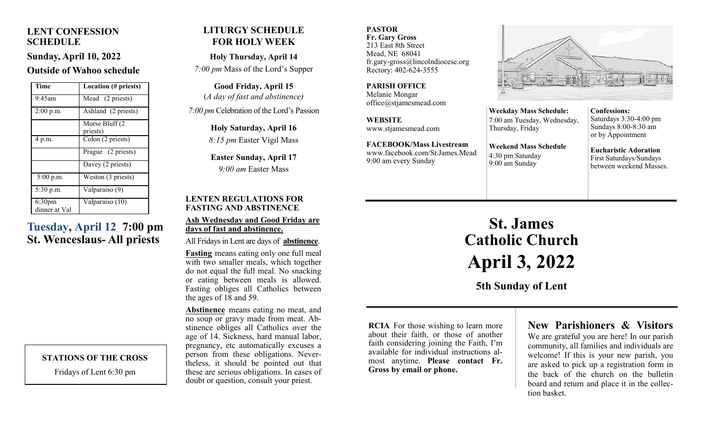### **LENT CONFESSION SCHEDULE**

**Sunday, April 10, 2022**

#### **Outside of Wahoo schedule**

| Time                                | <b>Location</b> (# priests) |
|-------------------------------------|-----------------------------|
| 9:45am                              | Mead (2 priests)            |
| 2:00 p.m.                           | Ashland (2 priests)         |
|                                     | Morse Bluff (2              |
|                                     | priests)                    |
| 4 p.m.                              | Colon (2 priests)           |
|                                     | Prague (2 priests)          |
|                                     | Davey (2 priests)           |
| $5:00$ p.m.                         | Weston (3 priests)          |
| 5:30 p.m.                           | Valparaiso (9)              |
| 6:30 <sub>pm</sub><br>dinner at Val | Valparaiso (10)             |

## **Tuesday, April 12 7:00 pm St. Wenceslaus- All priests**

#### **STATIONS OF THE CROSS**

Fridays of Lent 6:30 pm

## **LITURGY SCHEDULE FOR HOLY WEEK**

**Holy Thursday, April 14** *7:00 pm* Mass of the Lord's Supper

**Good Friday, April 15** (*A day of fast and abstinence)* 

*7:00 pm* Celebration of the Lord's Passion

**Holy Saturday, April 16** *8:15 pm* Easter Vigil Mass

**Easter Sunday, April 17** *9:00 am* Easter Mass

#### **LENTEN REGULATIONS FOR FASTING AND ABSTINENCE**

#### **Ash Wednesday and Good Friday are days of fast and abstinence.**

All Fridays in Lent are days of **abstinence**.

**Fasting** means eating only one full meal with two smaller meals, which together do not equal the full meal. No snacking or eating between meals is allowed. Fasting obliges all Catholics between the ages of 18 and 59.

**Abstinence** means eating no meat, and no soup or gravy made from meat. Abstinence obliges all Catholics over the age of 14. Sickness, hard manual labor, pregnancy, etc automatically excuses a person from these obligations. Nevertheless, it should be pointed out that these are serious obligations. In cases of doubt or question, consult your priest.

**PASTOR Fr. Gary Gross** 213 East 8th Street Mead, NE 68041 fr.gary-gross@lincolndiocese.org Rectory: 402-624-3555

**PARISH OFFICE** Melanie Mongar office@stjamesmead.com

**WEBSITE** www.stjamesmead.com

**FACEBOOK/Mass Livestream** [www.facebook.com/St.James.Mead](https://www.facebook.com/St.James.Mead/) 9:00 am every Sunday



**Weekday Mass Schedule:**  7:00 am Tuesday, Wednesday, Thursday, Friday **Weekend Mass Schedule**

**Confessions:**  Saturdays 3:30-4:00 pm Sundays 8:00-8:30 am or by Appointment

**Eucharistic Adoration**  First Saturdays/Sundays between weekend Masses.

# **St. James Catholic Church April 3, 2022**

4:30 pm Saturday 9:00 am Sunday

**5th Sunday of Lent**

**RCIA** For those wishing to learn more about their faith, or those of another faith considering joining the Faith, I'm available for individual instructions almost anytime. **Please contact Fr. Gross by email or phone.**

## **New Parishioners & Visitors**

We are grateful you are here! In our parish community, all families and individuals are welcome! If this is your new parish, you are asked to pick up a registration form in the back of the church on the bulletin board and return and place it in the collection basket.